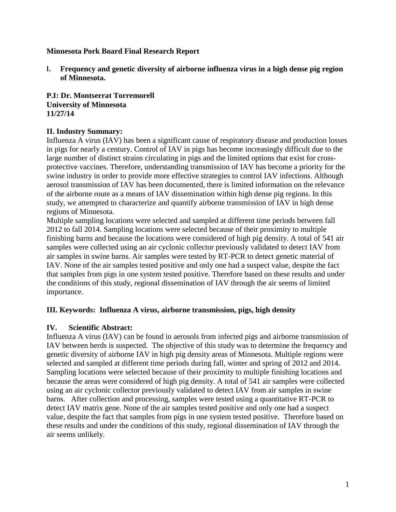### **Minnesota Pork Board Final Research Report**

**I. Frequency and genetic diversity of airborne influenza virus in a high dense pig region of Minnesota.** 

**P.I: Dr. Montserrat Torremorell University of Minnesota 11/27/14**

#### **II. Industry Summary:**

Influenza A virus (IAV) has been a significant cause of respiratory disease and production losses in pigs for nearly a century. Control of IAV in pigs has become increasingly difficult due to the large number of distinct strains circulating in pigs and the limited options that exist for crossprotective vaccines. Therefore, understanding transmission of IAV has become a priority for the swine industry in order to provide more effective strategies to control IAV infections. Although aerosol transmission of IAV has been documented, there is limited information on the relevance of the airborne route as a means of IAV dissemination within high dense pig regions. In this study, we attempted to characterize and quantify airborne transmission of IAV in high dense regions of Minnesota.

Multiple sampling locations were selected and sampled at different time periods between fall 2012 to fall 2014. Sampling locations were selected because of their proximity to multiple finishing barns and because the locations were considered of high pig density. A total of 541 air samples were collected using an air cyclonic collector previously validated to detect IAV from air samples in swine barns. Air samples were tested by RT-PCR to detect genetic material of IAV. None of the air samples tested positive and only one had a suspect value, despite the fact that samples from pigs in one system tested positive. Therefore based on these results and under the conditions of this study, regional dissemination of IAV through the air seems of limited importance.

### **III. Keywords: Influenza A virus, airborne transmission, pigs, high density**

### **IV. Scientific Abstract:**

Influenza A virus (IAV) can be found in aerosols from infected pigs and airborne transmission of IAV between herds is suspected. The objective of this study was to determine the frequency and genetic diversity of airborne IAV in high pig density areas of Minnesota. Multiple regions were selected and sampled at different time periods during fall, winter and spring of 2012 and 2014. Sampling locations were selected because of their proximity to multiple finishing locations and because the areas were considered of high pig density. A total of 541 air samples were collected using an air cyclonic collector previously validated to detect IAV from air samples in swine barns. After collection and processing, samples were tested using a quantitative RT-PCR to detect IAV matrix gene. None of the air samples tested positive and only one had a suspect value, despite the fact that samples from pigs in one system tested positive. Therefore based on these results and under the conditions of this study, regional dissemination of IAV through the air seems unlikely.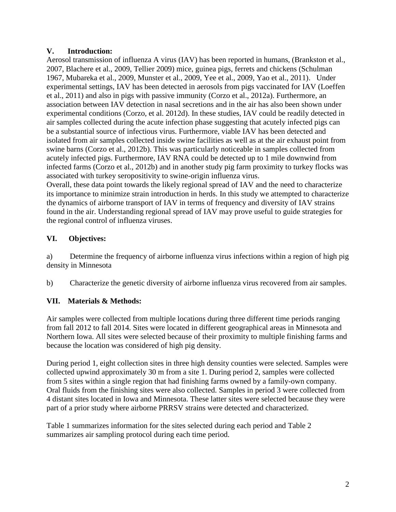### **V. Introduction:**

Aerosol transmission of influenza A virus (IAV) has been reported in humans, (Brankston et al., 2007, Blachere et al., 2009, Tellier 2009) mice, guinea pigs, ferrets and chickens (Schulman 1967, Mubareka et al., 2009, Munster et al., 2009, Yee et al., 2009, Yao et al., 2011). Under experimental settings, IAV has been detected in aerosols from pigs vaccinated for IAV (Loeffen et al., 2011) and also in pigs with passive immunity (Corzo et al., 2012a). Furthermore, an association between IAV detection in nasal secretions and in the air has also been shown under experimental conditions (Corzo, et al. 2012d). In these studies, IAV could be readily detected in air samples collected during the acute infection phase suggesting that acutely infected pigs can be a substantial source of infectious virus. Furthermore, viable IAV has been detected and isolated from air samples collected inside swine facilities as well as at the air exhaust point from swine barns (Corzo et al., 2012b). This was particularly noticeable in samples collected from acutely infected pigs. Furthermore, IAV RNA could be detected up to 1 mile downwind from infected farms (Corzo et al., 2012b) and in another study pig farm proximity to turkey flocks was associated with turkey seropositivity to swine-origin influenza virus.

Overall, these data point towards the likely regional spread of IAV and the need to characterize its importance to minimize strain introduction in herds. In this study we attempted to characterize the dynamics of airborne transport of IAV in terms of frequency and diversity of IAV strains found in the air. Understanding regional spread of IAV may prove useful to guide strategies for the regional control of influenza viruses.

# **VI. Objectives:**

a) Determine the frequency of airborne influenza virus infections within a region of high pig density in Minnesota

b) Characterize the genetic diversity of airborne influenza virus recovered from air samples.

# **VII. Materials & Methods:**

Air samples were collected from multiple locations during three different time periods ranging from fall 2012 to fall 2014. Sites were located in different geographical areas in Minnesota and Northern Iowa. All sites were selected because of their proximity to multiple finishing farms and because the location was considered of high pig density.

During period 1, eight collection sites in three high density counties were selected. Samples were collected upwind approximately 30 m from a site 1. During period 2, samples were collected from 5 sites within a single region that had finishing farms owned by a family-own company. Oral fluids from the finishing sites were also collected. Samples in period 3 were collected from 4 distant sites located in Iowa and Minnesota. These latter sites were selected because they were part of a prior study where airborne PRRSV strains were detected and characterized.

Table 1 summarizes information for the sites selected during each period and Table 2 summarizes air sampling protocol during each time period.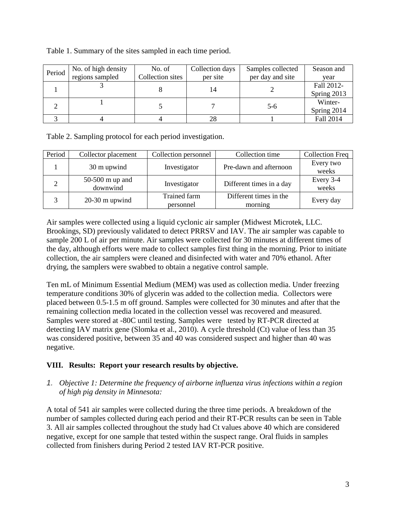| Period | No. of high density | No. of           | Collection days | Samples collected | Season and  |
|--------|---------------------|------------------|-----------------|-------------------|-------------|
|        | regions sampled     | Collection sites | per site        | per day and site  | year        |
|        |                     |                  |                 |                   | Fall 2012-  |
|        |                     |                  |                 |                   | Spring 2013 |
|        |                     |                  |                 | 5-6               | Winter-     |
|        |                     |                  |                 |                   | Spring 2014 |
|        |                     |                  |                 |                   | Fall 2014   |

Table 1. Summary of the sites sampled in each time period.

Table 2. Sampling protocol for each period investigation.

| Period | Collector placement         | Collection personnel      | Collection time                   | <b>Collection Freq</b> |
|--------|-----------------------------|---------------------------|-----------------------------------|------------------------|
|        | 30 m upwind                 | Investigator              | Pre-dawn and afternoon            | Every two<br>weeks     |
|        | 50-500 m up and<br>downwind | Investigator              | Different times in a day          | Every 3-4<br>weeks     |
|        | $20-30$ m upwind            | Trained farm<br>personnel | Different times in the<br>morning | Every day              |

Air samples were collected using a liquid cyclonic air sampler (Midwest Microtek, LLC. Brookings, SD) previously validated to detect PRRSV and IAV. The air sampler was capable to sample 200 L of air per minute. Air samples were collected for 30 minutes at different times of the day, although efforts were made to collect samples first thing in the morning. Prior to initiate collection, the air samplers were cleaned and disinfected with water and 70% ethanol. After drying, the samplers were swabbed to obtain a negative control sample.

Ten mL of Minimum Essential Medium (MEM) was used as collection media. Under freezing temperature conditions 30% of glycerin was added to the collection media. Collectors were placed between 0.5-1.5 m off ground. Samples were collected for 30 minutes and after that the remaining collection media located in the collection vessel was recovered and measured. Samples were stored at -80C until testing. Samples were tested by RT-PCR directed at detecting IAV matrix gene (Slomka et al., 2010). A cycle threshold (Ct) value of less than 35 was considered positive, between 35 and 40 was considered suspect and higher than 40 was negative.

# **VIII. Results: Report your research results by objective.**

*1. Objective 1: Determine the frequency of airborne influenza virus infections within a region of high pig density in Minnesota:* 

A total of 541 air samples were collected during the three time periods. A breakdown of the number of samples collected during each period and their RT-PCR results can be seen in Table 3. All air samples collected throughout the study had Ct values above 40 which are considered negative, except for one sample that tested within the suspect range. Oral fluids in samples collected from finishers during Period 2 tested IAV RT-PCR positive.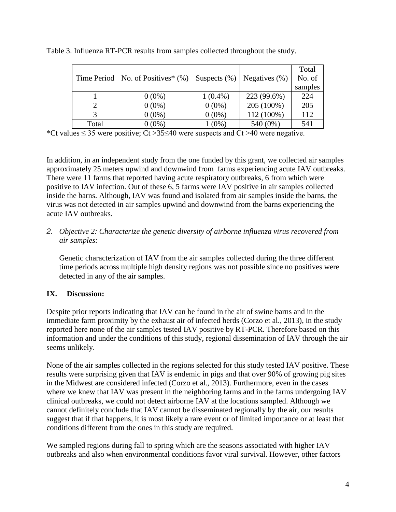|       | Time Period   No. of Positives* $(\%)$ | Suspects $(\%)$ | Negatives (%) | Total<br>No. of |
|-------|----------------------------------------|-----------------|---------------|-----------------|
|       |                                        |                 |               | samples         |
|       | $0(0\%)$                               | $1(0.4\%)$      | 223 (99.6%)   | 224             |
|       | $0(0\%)$                               | $0(0\%)$        | 205 (100%)    | 205             |
|       | $0(0\%)$                               | $0(0\%)$        | 112 (100%)    | 112             |
| Total | $0(0\%)$                               | $(0\%)$         | 540 (0%)      | 541             |

Table 3. Influenza RT-PCR results from samples collected throughout the study.

\*Ct values  $\leq$  35 were positive; Ct > 35 $\leq$ 40 were suspects and Ct > 40 were negative.

In addition, in an independent study from the one funded by this grant, we collected air samples approximately 25 meters upwind and downwind from farms experiencing acute IAV outbreaks. There were 11 farms that reported having acute respiratory outbreaks, 6 from which were positive to IAV infection. Out of these 6, 5 farms were IAV positive in air samples collected inside the barns. Although, IAV was found and isolated from air samples inside the barns, the virus was not detected in air samples upwind and downwind from the barns experiencing the acute IAV outbreaks.

### *2. Objective 2: Characterize the genetic diversity of airborne influenza virus recovered from air samples:*

Genetic characterization of IAV from the air samples collected during the three different time periods across multiple high density regions was not possible since no positives were detected in any of the air samples.

# **IX. Discussion:**

Despite prior reports indicating that IAV can be found in the air of swine barns and in the immediate farm proximity by the exhaust air of infected herds (Corzo et al., 2013), in the study reported here none of the air samples tested IAV positive by RT-PCR. Therefore based on this information and under the conditions of this study, regional dissemination of IAV through the air seems unlikely.

None of the air samples collected in the regions selected for this study tested IAV positive. These results were surprising given that IAV is endemic in pigs and that over 90% of growing pig sites in the Midwest are considered infected (Corzo et al., 2013). Furthermore, even in the cases where we knew that IAV was present in the neighboring farms and in the farms undergoing IAV clinical outbreaks, we could not detect airborne IAV at the locations sampled. Although we cannot definitely conclude that IAV cannot be disseminated regionally by the air, our results suggest that if that happens, it is most likely a rare event or of limited importance or at least that conditions different from the ones in this study are required.

We sampled regions during fall to spring which are the seasons associated with higher IAV outbreaks and also when environmental conditions favor viral survival. However, other factors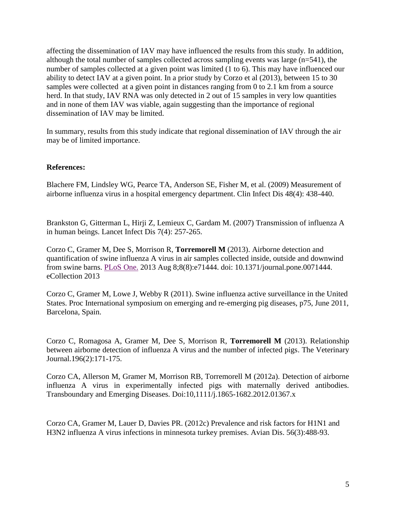affecting the dissemination of IAV may have influenced the results from this study. In addition, although the total number of samples collected across sampling events was large (n=541), the number of samples collected at a given point was limited (1 to 6). This may have influenced our ability to detect IAV at a given point. In a prior study by Corzo et al (2013), between 15 to 30 samples were collected at a given point in distances ranging from 0 to 2.1 km from a source herd. In that study, IAV RNA was only detected in 2 out of 15 samples in very low quantities and in none of them IAV was viable, again suggesting than the importance of regional dissemination of IAV may be limited.

In summary, results from this study indicate that regional dissemination of IAV through the air may be of limited importance.

#### **References:**

Blachere FM, Lindsley WG, Pearce TA, Anderson SE, Fisher M, et al. (2009) Measurement of airborne influenza virus in a hospital emergency department. Clin Infect Dis 48(4): 438-440.

Brankston G, Gitterman L, Hirji Z, Lemieux C, Gardam M. (2007) Transmission of influenza A in human beings. Lancet Infect Dis 7(4): 257-265.

Corzo C, Gramer M, Dee S, Morrison R, **Torremorell M** (2013). Airborne detection and quantification of swine influenza A virus in air samples collected inside, outside and downwind from swine barns. [PLoS One.](http://www.ncbi.nlm.nih.gov/pubmed/23951164) 2013 Aug 8;8(8):e71444. doi: 10.1371/journal.pone.0071444. eCollection 2013

Corzo C, Gramer M, Lowe J, Webby R (2011). Swine influenza active surveillance in the United States. Proc International symposium on emerging and re-emerging pig diseases, p75, June 2011, Barcelona, Spain.

Corzo C, Romagosa A, Gramer M, Dee S, Morrison R, **Torremorell M** (2013). Relationship between airborne detection of influenza A virus and the number of infected pigs. The Veterinary Journal.196(2):171-175.

Corzo CA, Allerson M, Gramer M, Morrison RB, Torremorell M (2012a). Detection of airborne influenza A virus in experimentally infected pigs with maternally derived antibodies. Transboundary and Emerging Diseases. Doi:10,1111/j.1865-1682.2012.01367.x

Corzo CA, Gramer M, Lauer D, Davies PR. (2012c) Prevalence and risk factors for H1N1 and H3N2 influenza A virus infections in minnesota turkey premises. Avian Dis. 56(3):488-93.